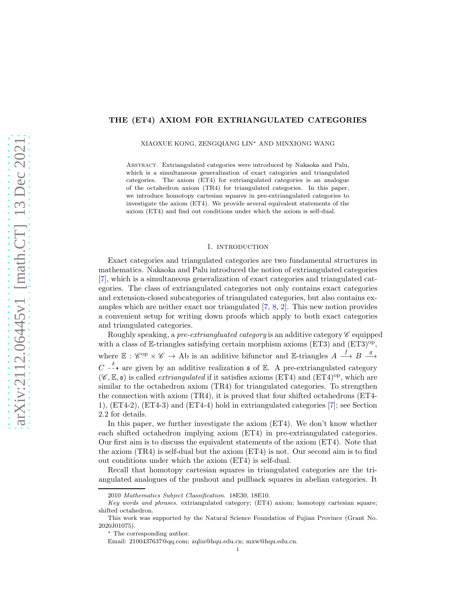# THE (ET4) AXIOM FOR EXTRIANGULATED CATEGORIES

XIAOXUE KONG, ZENGQIANG LIN<sup>∗</sup> AND MINXIONG WANG

Abstract. Extriangulated categories were introduced by Nakaoka and Palu, which is a simultaneous generalization of exact categories and triangulated categories. The axiom (ET4) for extriangulated categories is an analogue of the octahedron axiom (TR4) for triangulated categories. In this paper, we introduce homotopy cartesian squares in pre-extriangulated categories to investigate the axiom (ET4). We provide several equivalent statements of the axiom (ET4) and find out conditions under which the axiom is self-dual.

## 1. introduction

Exact categories and triangulated categories are two fundamental structures in mathematics. Nakaoka and Palu introduced the notion of extriangulated categories [\[7\]](#page-12-0), which is a simultaneous generalization of exact categories and triangulated categories. The class of extriangulated categories not only contains exact categories and extension-closed subcategories of triangulated categories, but also contains examples which are neither exact nor triangulated [\[7,](#page-12-0) [8,](#page-12-1) [2\]](#page-12-2). This new notion provides a convenient setup for writing down proofs which apply to both exact categories and triangulated categories.

Roughly speaking, a pre-extriangluated category is an additive category  $\mathscr C$  equipped with a class of  $E$ -triangles satisfying certain morphism axioms (ET3) and (ET3)<sup>op</sup>, where  $\mathbb{E}: \mathscr{C}^{op} \times \mathscr{C} \to$  Ab is an additive bifunctor and E-triangles  $A \stackrel{f}{\longrightarrow} B \stackrel{g}{\longrightarrow}$  $C \longrightarrow \mathbb{R}^{\delta}$  are given by an additive realization s of E. A pre-extriangulated category  $(\mathscr{C}, \mathbb{E}, \mathfrak{s})$  is called *extriangulated* if it satisfies axioms (ET4) and (ET4)<sup>op</sup>, which are similar to the octahedron axiom (TR4) for triangulated categories. To strengthen the connection with axiom (TR4), it is proved that four shifted octahedrons (ET4- 1), (ET4-2), (ET4-3) and (ET4-4) hold in extriangulated categories [\[7\]](#page-12-0); see Section 2.2 for details.

In this paper, we further investigate the axiom (ET4). We don't know whether each shifted octahedron implying axiom (ET4) in pre-extriangulated categories. Our first aim is to discuss the equivalent statements of the axiom (ET4). Note that the axiom (TR4) is self-dual but the axiom (ET4) is not. Our second aim is to find out conditions under which the axiom (ET4) is self-dual.

Recall that homotopy cartesian squares in triangulated categories are the triangulated analogues of the pushout and pullback squares in abelian categories. It

<sup>2010</sup> Mathematics Subject Classification. 18E30, 18E10.

Key words and phrases. extriangulated category; (ET4) axiom; homotopy cartesian square; shifted octahedron.

This work was supported by the Natural Science Foundation of Fujian Province (Grant No. 2020J01075).

<sup>∗</sup> The corresponding author.

Email: 2100437637@qq.com; zqlin@hqu.edu.cn; mxw@hqu.edu.cn.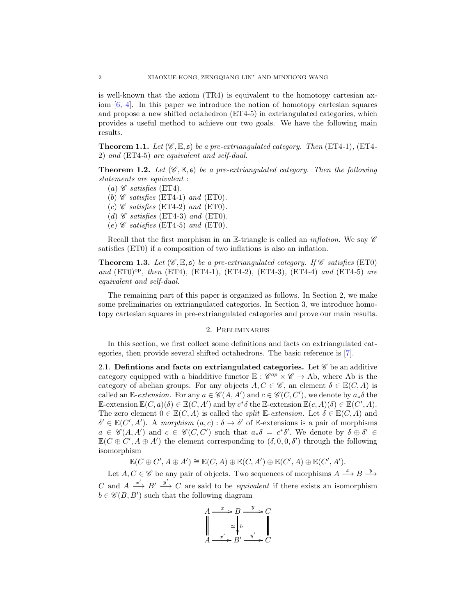is well-known that the axiom (TR4) is equivalent to the homotopy cartesian axiom  $[6, 4]$  $[6, 4]$ . In this paper we introduce the notion of homotopy cartesian squares and propose a new shifted octahedron (ET4-5) in extriangulated categories, which provides a useful method to achieve our two goals. We have the following main results.

**Theorem 1.1.** Let  $(\mathscr{C}, \mathbb{E}, \mathfrak{s})$  be a pre-extriangulated category. Then (ET4-1), (ET4-2) and (ET4-5) are equivalent and self-dual.

**Theorem 1.2.** Let  $(\mathscr{C}, \mathbb{E}, \mathfrak{s})$  be a pre-extriangulated category. Then the following statements are equivalent :

- (a)  $\mathscr C$  satisfies (ET4).
- (b)  $\mathscr C$  satisfies (ET4-1) and (ET0).
- (c)  $\mathscr C$  satisfies (ET4-2) and (ET0).
- (d)  $\mathscr C$  satisfies (ET4-3) and (ET0).
- (e)  $\mathscr C$  satisfies (ET4-5) and (ET0).

Recall that the first morphism in an E-triangle is called an *inflation*. We say  $\mathscr C$ satisfies (ET0) if a composition of two inflations is also an inflation.

**Theorem 1.3.** Let  $(\mathscr{C}, \mathbb{E}, \mathfrak{s})$  be a pre-extriangulated category. If  $\mathscr{C}$  satisfies (ET0) and  $(ET0)^{op}$ , then  $(ET4)$ ,  $(ET4-1)$ ,  $(ET4-2)$ ,  $(ET4-3)$ ,  $(ET4-4)$  and  $(ET4-5)$  are equivalent and self-dual.

The remaining part of this paper is organized as follows. In Section 2, we make some preliminaries on extriangulated categories. In Section 3, we introduce homotopy cartesian squares in pre-extriangulated categories and prove our main results.

## 2. Preliminaries

In this section, we first collect some definitions and facts on extriangulated categories, then provide several shifted octahedrons. The basic reference is [\[7\]](#page-12-0).

2.1. Definitions and facts on extriangulated categories. Let  $\mathscr C$  be an additive category equipped with a biadditive functor  $\mathbb{E}: \mathscr{C}^{op} \times \mathscr{C} \to$  Ab, where Ab is the category of abelian groups. For any objects  $A, C \in \mathscr{C}$ , an element  $\delta \in \mathbb{E}(C, A)$  is called an E-extension. For any  $a \in \mathscr{C}(A, A')$  and  $c \in \mathscr{C}(C, C')$ , we denote by  $a_*\delta$  the E-extension  $\mathbb{E}(C, a)(\delta) \in \mathbb{E}(C, A')$  and by  $c^* \delta$  the E-extension  $\mathbb{E}(c, A)(\delta) \in \mathbb{E}(C', A)$ . The zero element  $0 \in \mathbb{E}(C, A)$  is called the *split* E-extension. Let  $\delta \in \mathbb{E}(C, A)$  and  $\delta' \in \mathbb{E}(C', A')$ . A morphism  $(a, c) : \delta \to \delta'$  of E-extensions is a pair of morphisms  $a \in \mathscr{C}(A, A')$  and  $c \in \mathscr{C}(C, C')$  such that  $a_*\delta = c^*\delta'$ . We denote by  $\delta \oplus \delta' \in$  $\mathbb{E}(C \oplus C', A \oplus A')$  the element corresponding to  $(\delta, 0, 0, \delta')$  through the following isomorphism

 $\mathbb{E}(C \oplus C', A \oplus A') \cong \mathbb{E}(C, A) \oplus \mathbb{E}(C, A') \oplus \mathbb{E}(C', A) \oplus \mathbb{E}(C', A').$ 

Let  $A, C \in \mathscr{C}$  be any pair of objects. Two sequences of morphisms  $A \stackrel{x}{\longrightarrow} B \stackrel{y}{\longrightarrow}$ C and  $A \xrightarrow{x'} B' \xrightarrow{y'} C$  are said to be *equivalent* if there exists an isomorphism  $b \in \mathscr{C}(B, B')$  such that the following diagram

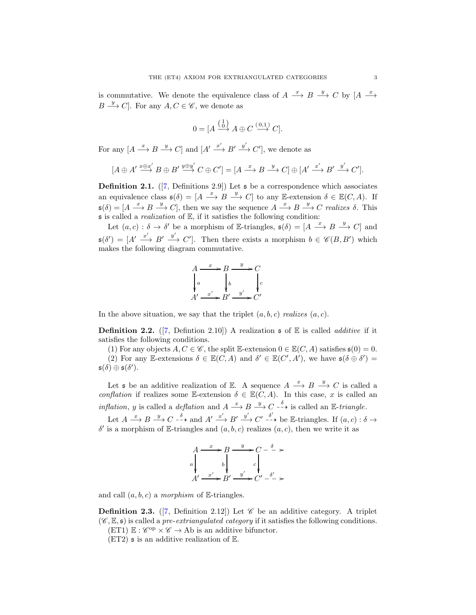is commutative. We denote the equivalence class of  $A \stackrel{x}{\longrightarrow} B \stackrel{y}{\longrightarrow} C$  by  $[A \stackrel{x}{\longrightarrow} A]$  $B \stackrel{y}{\longrightarrow} C$ . For any  $A, C \in \mathscr{C}$ , we denote as

$$
0 = [A \xrightarrow{\begin{pmatrix} 1 \\ 0 \end{pmatrix}} A \oplus C \xrightarrow{\begin{pmatrix} 0,1 \\ \longrightarrow \end{pmatrix}} C].
$$

For any  $[A \xrightarrow{x} B \xrightarrow{y} C]$  and  $[A' \xrightarrow{x'} B' \xrightarrow{y'} C']$ , we denote as

$$
[A \oplus A' \xrightarrow{x \oplus x'} B \oplus B' \xrightarrow{y \oplus y'} C \oplus C'] = [A \xrightarrow{x} B \xrightarrow{y} C] \oplus [A' \xrightarrow{x'} B' \xrightarrow{y'} C'].
$$

**Definition 2.1.** ([\[7,](#page-12-0) Definitions 2.9]) Let  $\boldsymbol{\epsilon}$  be a correspondence which associates an equivalence class  $\mathfrak{s}(\delta) = [A \stackrel{x}{\longrightarrow} B \stackrel{y}{\longrightarrow} C]$  to any E-extension  $\delta \in \mathbb{E}(C, A)$ . If  $\mathfrak{s}(\delta) = [A \xrightarrow{x} B \xrightarrow{y} C],$  then we say the sequence  $A \xrightarrow{x} B \xrightarrow{y} C$  realizes  $\delta$ . This  $\mathfrak s$  is called a *realization* of  $\mathbb E$ , if it satisfies the following condition:

Let  $(a, c) : \delta \to \delta'$  be a morphism of E-triangles,  $\mathfrak{s}(\delta) = [A \xrightarrow{x} B \xrightarrow{y} C]$  and  $\mathfrak{s}(\delta') = [A' \xrightarrow{x'} B' \xrightarrow{y'} C']$ . Then there exists a morphism  $b \in \mathscr{C}(B, B')$  which makes the following diagram commutative.

$$
A \xrightarrow{x} B \xrightarrow{y} C
$$
  
\n
$$
\downarrow a
$$
  
\n
$$
A' \xrightarrow{x'} B' \xrightarrow{y'} C'
$$

In the above situation, we say that the triplet  $(a, b, c)$  realizes  $(a, c)$ .

**Definition 2.2.** ([\[7,](#page-12-0) Defintion 2.10]) A realization  $\mathfrak{s}$  of  $\mathbb{E}$  is called *additive* if it satisfies the following conditions.

(1) For any objects  $A, C \in \mathscr{C}$ , the split E-extension  $0 \in E(C, A)$  satisfies  $\mathfrak{s}(0) = 0$ . (2) For any E-extensions  $\delta \in \mathbb{E}(C, A)$  and  $\delta' \in \mathbb{E}(C', A')$ , we have  $\mathfrak{s}(\delta \oplus \delta') =$  $\mathfrak{s}(\delta) \oplus \mathfrak{s}(\delta').$ 

Let **s** be an additive realization of E. A sequence  $A \xrightarrow{x} B \xrightarrow{y} C$  is called a conflation if realizes some E-extension  $\delta \in \mathbb{E}(C, A)$ . In this case, x is called an *inflation*, y is called a *deflation* and  $A \xrightarrow{x} B \xrightarrow{y} C \xrightarrow{\delta}$  is called an E-triangle.

Let  $A \xrightarrow{x} B \xrightarrow{y} C \xrightarrow{-\delta}$  and  $A' \xrightarrow{x'} B' \xrightarrow{y'} C' \xrightarrow{-\delta}$  be E-triangles. If  $(a, c) : \delta \rightarrow$ δ' is a morphism of E-triangles and  $(a, b, c)$  realizes  $(a, c)$ , then we write it as

$$
A \xrightarrow{x} B \xrightarrow{y} C - \xrightarrow{\delta} \rightarrow
$$
  
\n
$$
a \downarrow \qquad b \downarrow \qquad c \downarrow
$$
  
\n
$$
A' \xrightarrow{x'} B' \xrightarrow{y'} C' - \xrightarrow{\delta'} \rightarrow
$$

and call  $(a, b, c)$  a morphism of E-triangles.

**Definition 2.3.** ([\[7,](#page-12-0) Definition 2.12]) Let  $\mathscr C$  be an additive category. A triplet  $(\mathscr{C}, \mathbb{E}, \mathfrak{s})$  is called a *pre-extriangulated category* if it satisfies the following conditions.

 $(ET1) \mathbb{E} : \mathscr{C}^{op} \times \mathscr{C} \to Ab$  is an additive bifunctor.

 $(ET2)$  s is an additive realization of  $\mathbb{E}$ .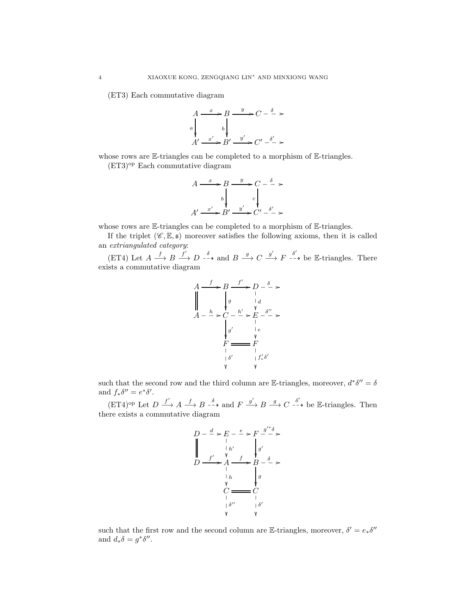(ET3) Each commutative diagram



whose rows are E-triangles can be completed to a morphism of E-triangles.

(ET3)op Each commutative diagram

$$
A \xrightarrow{x} B \xrightarrow{y} C - \xrightarrow{\delta} \rightarrow
$$
  

$$
b \downarrow c \downarrow
$$
  

$$
A' \xrightarrow{x'} B' \xrightarrow{y'} C' - \xrightarrow{\delta'} \rightarrow
$$

whose rows are E-triangles can be completed to a morphism of E-triangles.

If the triplet  $(\mathscr{C}, \mathbb{E}, \mathfrak{s})$  moreover satisfies the following axioms, then it is called an extriangulated category:

(ET4) Let  $A \xrightarrow{f} B \xrightarrow{f'} D \xrightarrow{-\delta}$  and  $B \xrightarrow{g} C \xrightarrow{g'} F \xrightarrow{-\delta}$  be E-triangles. There exists a commutative diagram

$$
A \xrightarrow{f} B \xrightarrow{f'} D - \xrightarrow{\delta} \rightarrow
$$
  
\n
$$
\parallel \qquad \qquad \downarrow g \qquad \qquad \downarrow d
$$
  
\n
$$
A - \xrightarrow{h} \searrow C - \xrightarrow{h'} \searrow E - \xrightarrow{\delta''} \searrow
$$
  
\n
$$
\downarrow g' \qquad \qquad \downarrow e
$$
  
\n
$$
\downarrow F \xrightarrow{\qquad \qquad \downarrow F \qquad \qquad \downarrow F \qquad \qquad \downarrow f'_{*} \delta'
$$
  
\n
$$
\vee \qquad \qquad \vee \qquad \vee \qquad \vee \qquad \vee \qquad \vee \qquad \vee \qquad \vee \qquad \vee \qquad \vee \qquad \vee \qquad \vee \qquad \vee \qquad \vee \qquad \vee \qquad \vee \qquad \vee \qquad \vee \qquad \vee \qquad \vee \qquad \vee \qquad \vee \qquad \vee \qquad \vee \qquad \vee \qquad \vee \qquad \vee \qquad \vee \qquad \vee \qquad \vee \qquad \vee \qquad \vee \qquad \vee \qquad \vee \qquad \vee \qquad \vee \qquad \vee \qquad \vee \qquad \vee \qquad \vee \qquad \vee \qquad \vee \qquad \vee \qquad \vee \qquad \vee \qquad \vee \qquad \vee \qquad \vee \qquad \vee \qquad \vee \qquad \vee \qquad \vee \qquad \vee \qquad \vee \qquad \vee \qquad \vee \qquad \vee \qquad \vee \qquad \vee \qquad \vee \qquad \vee \qquad \vee \qquad \vee \qquad \vee \qquad \vee \qquad \vee \qquad \vee \qquad \vee \qquad \vee \qquad \vee \qquad \vee \qquad \vee \qquad \vee \qquad \vee \qquad \vee \qquad \vee \qquad \vee \qquad \vee \qquad \vee \qquad \vee \qquad \vee \qquad \vee \qquad \vee \qquad \vee \qquad \vee \qquad \vee \qquad \vee \qquad \vee \qquad \vee \qquad \vee \qquad \vee \qquad \vee \qquad \vee \qquad \vee \
$$

such that the second row and the third column are E-triangles, moreover,  $d^*\delta'' = \delta$ and  $f_*\delta'' = e^*\delta'.$ 

 $(FT4)^{op}$  Let  $D \xrightarrow{f'} A \xrightarrow{f} B \xrightarrow{-\delta}$  and  $F \xrightarrow{g'} B \xrightarrow{g} C \xrightarrow{\delta'}$  be E-triangles. Then there exists a commutative diagram



such that the first row and the second column are E-triangles, moreover,  $\delta' = e_*\delta''$ and  $d_*\delta = g^*\delta''$ .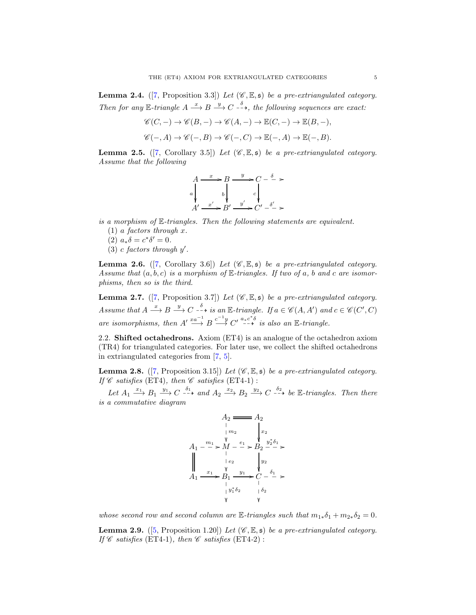<span id="page-4-0"></span>**Lemma 2.4.** ([\[7,](#page-12-0) Proposition 3.3]) Let  $(\mathscr{C}, \mathbb{E}, \mathfrak{s})$  be a pre-extriangulated category. Then for any E-triangle  $A \stackrel{x}{\longrightarrow} B \stackrel{y}{\longrightarrow} C \stackrel{\delta}{\longrightarrow}$ , the following sequences are exact:

$$
\mathscr{C}(C,-) \to \mathscr{C}(B,-) \to \mathscr{C}(A,-) \to \mathbb{E}(C,-) \to \mathbb{E}(B,-),
$$
  

$$
\mathscr{C}(-,A) \to \mathscr{C}(-,B) \to \mathscr{C}(-,C) \to \mathbb{E}(-,A) \to \mathbb{E}(-,B).
$$

<span id="page-4-1"></span>**Lemma 2.5.** ([\[7,](#page-12-0) Corollary 3.5]) Let  $(\mathscr{C}, \mathbb{E}, \mathfrak{s})$  be a pre-extriangulated category. Assume that the following

$$
A \xrightarrow{x} B \xrightarrow{y} C - \xrightarrow{\delta} \rightarrow
$$
  
\n
$$
a \downarrow \qquad b \downarrow \qquad c \downarrow
$$
  
\n
$$
A' \xrightarrow{x'} B' \xrightarrow{y'} C' - \xrightarrow{\delta'} \rightarrow
$$

is a morphism of E-triangles. Then the following statements are equivalent.

- $(1)$  a factors through x.
- (2)  $a_*\delta = c^*\delta' = 0.$
- $(3)$  c factors through  $y'$ .

<span id="page-4-3"></span>**Lemma 2.6.** ([\[7,](#page-12-0) Corollary 3.6]) Let  $(\mathscr{C}, \mathbb{E}, \mathfrak{s})$  be a pre-extriangulated category. Assume that  $(a, b, c)$  is a morphism of  $\mathbb{E}$ -triangles. If two of a, b and c are isomorphisms, then so is the third.

<span id="page-4-5"></span>**Lemma 2.7.** ([\[7,](#page-12-0) Proposition 3.7]) Let  $(\mathscr{C}, \mathbb{E}, \mathfrak{s})$  be a pre-extriangulated category. Assume that  $A \stackrel{x}{\longrightarrow} B \stackrel{y}{\longrightarrow} C \stackrel{\delta}{\dashrightarrow}$  is an E-triangle. If  $a \in \mathscr{C}(A, A')$  and  $c \in \mathscr{C}(C', C)$ are isomorphisms, then  $A' \stackrel{xa^{-1}}{\longrightarrow} B \stackrel{c^{-1}y}{\longrightarrow} C' \stackrel{a_*c^*\delta}{\longrightarrow}$  is also an E-triangle.

2.2. Shifted octahedrons. Axiom (ET4) is an analogue of the octahedron axiom (TR4) for triangulated categories. For later use, we collect the shifted octahedrons in extriangulated categories from [\[7,](#page-12-0) [5\]](#page-12-5).

<span id="page-4-4"></span>**Lemma 2.8.** ([\[7,](#page-12-0) Proposition 3.15]) Let  $(\mathscr{C}, \mathbb{E}, \mathfrak{s})$  be a pre-extriangulated category. If  $\mathscr C$  satisfies (ET4), then  $\mathscr C$  satisfies (ET4-1):

Let  $A_1 \xrightarrow{x_1} B_1 \xrightarrow{y_1} C \xrightarrow{\delta_1}$  and  $A_2 \xrightarrow{x_2} B_2 \xrightarrow{y_2} C \xrightarrow{\delta_2}$  be E-triangles. Then there is a commutative diagram

$$
A_2 \longrightarrow A_2
$$
\n
$$
A_1 \longrightarrow \begin{array}{c} \n\mid m_2 \\
\mid m_2\n\end{array}\n\qquad\n\begin{array}{c}\n\mid x_2 \\
\downarrow x_2\n\end{array}
$$
\n
$$
A_1 \longrightarrow \begin{array}{c} \n\mid x_1 \\
\mid e_2 \\
\mid e_2\n\end{array}\n\qquad\n\begin{array}{c}\n\mid y_2 \\
\mid y_2\n\end{array}\n\qquad\n\begin{array}{c}\n\mid y_2 \\
\downarrow y_2\n\end{array}\n\qquad\n\begin{array}{c}\n\downarrow x_1 \\
\mid y_2\n\end{array}\n\qquad\n\begin{array}{c}\n\downarrow y_1 \\
\downarrow y_2\n\end{array}\n\qquad\n\begin{array}{c}\n\downarrow y_1 \\
\downarrow y_2\n\end{array}\n\qquad\n\begin{array}{c}\n\downarrow y_1 \\
\downarrow y_2\n\end{array}\n\qquad\n\begin{array}{c}\n\downarrow y_1 \\
\downarrow y_2\n\end{array}
$$

whose second row and second column are  $\mathbb{E}\text{-triangles such that } m_{1*}\delta_1 + m_{2*}\delta_2 = 0.$ 

<span id="page-4-2"></span>**Lemma 2.9.** ([\[5,](#page-12-5) Proposition 1.20]) Let  $(\mathscr{C}, \mathbb{E}, \mathfrak{s})$  be a pre-extriangulated category. If  $\mathscr C$  satisfies (ET4-1), then  $\mathscr C$  satisfies (ET4-2):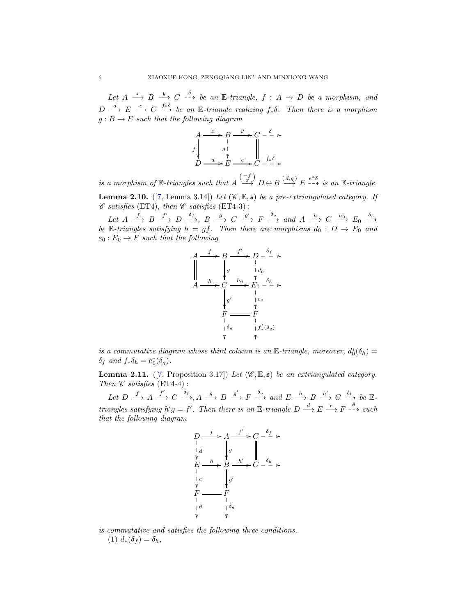Let  $A \stackrel{x}{\longrightarrow} B \stackrel{y}{\longrightarrow} C \stackrel{\delta}{\longrightarrow} be$  an E-triangle,  $f : A \rightarrow D$  be a morphism, and  $D \stackrel{d}{\longrightarrow} E \stackrel{e}{\longrightarrow} C \stackrel{f_*\delta}{\longrightarrow} be$  an E-triangle realizing  $f_*\delta$ . Then there is a morphism  $g : B \to E$  such that the following diagram

$$
A \xrightarrow{a} B \xrightarrow{y} C - \xrightarrow{\delta} \ast
$$
  

$$
f \downarrow g \downarrow \qquad g \downarrow
$$
  

$$
D \xrightarrow{d} E \xrightarrow{e} C - \xrightarrow{f \ast \delta} \ast
$$

is a morphism of  $\mathbb{E}$ -triangles such that  $A \stackrel{(-f)}{\longrightarrow} D \oplus B \stackrel{(d,g)}{\longrightarrow} E \stackrel{e^*\delta}{\longrightarrow}$  is an  $\mathbb{E}$ -triangle.

**Lemma 2.10.** ([\[7,](#page-12-0) Lemma 3.14]) Let  $(\mathscr{C}, \mathbb{E}, \mathfrak{s})$  be a pre-extriangulated category. If  $\mathscr C$  satisfies (ET4), then  $\mathscr C$  satisfies (ET4-3):

Let  $A \xrightarrow{f} B \xrightarrow{f'} D \xrightarrow{-\rightarrow} B \xrightarrow{g} C \xrightarrow{g'} F \xrightarrow{-\rightarrow} and A \xrightarrow{h} C \xrightarrow{h_0} E_0 \xrightarrow{\delta_h}$ be E-triangles satisfying  $h = gf$ . Then there are morphisms  $d_0 : D \to E_0$  and  $e_0: E_0 \to F$  such that the following



is a commutative diagram whose third column is an E-triangle, moreover,  $d_0^*(\delta_h) =$  $\delta_f$  and  $f_*\delta_h = e_0^*(\delta_g)$ .

<span id="page-5-0"></span>**Lemma 2.11.** ([\[7,](#page-12-0) Proposition 3.17]) Let  $(\mathscr{C}, \mathbb{E}, \mathfrak{s})$  be an extriangulated category. Then  $\mathscr C$  satisfies (ET4-4):

Let  $D \xrightarrow{f} A \xrightarrow{f'} C \xrightarrow{-\rightarrow} A \xrightarrow{g} B \xrightarrow{g'} F \xrightarrow{-\rightarrow} and E \xrightarrow{h} B \xrightarrow{h'} C \xrightarrow{-\rightarrow} be \mathbb{E}$ triangles satisfying  $h'g = f'$ . Then there is an E-triangle  $D \stackrel{d}{\longrightarrow} E \stackrel{e}{\longrightarrow} F \stackrel{\theta}{\longrightarrow} such$ that the following diagram



is commutative and satisfies the following three conditions. (1)  $d_*(\delta_f) = \delta_h$ ,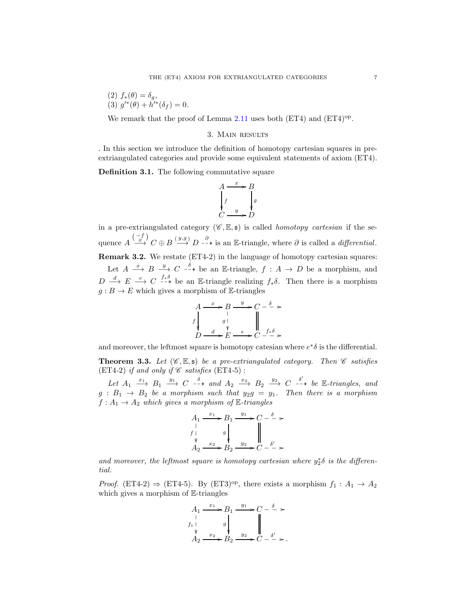(2) 
$$
f_*(\theta) = \delta_g
$$
,  
(3)  $g'^*(\theta) + h'^*(\delta_f) = 0$ .

We remark that the proof of Lemma  $2.11$  uses both (ET4) and (ET4)<sup>op</sup>.

### 3. Main results

. In this section we introduce the definition of homotopy cartesian squares in preextriangulated categories and provide some equivalent statements of axiom (ET4).

Definition 3.1. The following commutative square

$$
A \xrightarrow{x} B
$$
  
\n
$$
\downarrow f
$$
  
\n
$$
\downarrow g
$$
  
\n
$$
C \xrightarrow{y} D
$$

in a pre-extriangulated category  $(\mathscr{C}, \mathbb{E}, \mathfrak{s})$  is called *homotopy cartesian* if the sequence  $A \stackrel{(-f)}{\longrightarrow} C \oplus B \stackrel{(y,g)}{\longrightarrow} D \stackrel{\partial}{\longrightarrow}$  is an E-triangle, where  $\partial$  is called a *differential*. Remark 3.2. We restate (ET4-2) in the language of homotopy cartesian squares: Let  $A \stackrel{x}{\longrightarrow} B \stackrel{y}{\longrightarrow} C \stackrel{\delta}{\longrightarrow}$  be an E-triangle,  $f : A \rightarrow D$  be a morphism, and

 $D \stackrel{d}{\longrightarrow} E \stackrel{e}{\longrightarrow} C \stackrel{f_*\delta}{\longrightarrow}$  be an E-triangle realizing  $f_*\delta$ . Then there is a morphism  $g: B \to E$  which gives a morphism of E-triangles

$$
A \xrightarrow{x} B \xrightarrow{y} C - \xrightarrow{\delta} \ast
$$
  

$$
f \downarrow g \downarrow \qquad g \downarrow
$$
  

$$
D \xrightarrow{d} E \xrightarrow{e} C - \xrightarrow{f_* \delta} \ast
$$

and moreover, the leftmost square is homotopy catesian where  $e^*\delta$  is the differential.

<span id="page-6-0"></span>**Theorem 3.3.** Let  $(\mathscr{C}, \mathbb{E}, \mathfrak{s})$  be a pre-extriangulated category. Then  $\mathscr{C}$  satisfies (ET4-2) if and only if  $\mathscr C$  satisfies (ET4-5):

Let  $A_1 \stackrel{x_1}{\longrightarrow} B_1 \stackrel{y_1}{\longrightarrow} C \stackrel{\delta}{\longrightarrow} and A_2 \stackrel{x_2}{\longrightarrow} B_2 \stackrel{y_2}{\longrightarrow} C \stackrel{\delta'}{\longrightarrow} be \mathbb{E}$ -triangles, and  $g : B_1 \rightarrow B_2$  be a morphism such that  $y_2g = y_1$ . Then there is a morphism  $f: A_1 \rightarrow A_2$  which gives a morphism of E-triangles

$$
A_1 \xrightarrow{x_1} B_1 \xrightarrow{y_1} C - \xrightarrow{\delta} >
$$
  
\n $f \downarrow$  g  
\n $A_2 \xrightarrow{x_2} B_2 \xrightarrow{y_2} C - \xrightarrow{\delta'}$ 

and moreover, the leftmost square is homotopy cartesian where  $y_2^* \delta$  is the differential.

*Proof.* (ET4-2)  $\Rightarrow$  (ET4-5). By (ET3)<sup>op</sup>, there exists a morphism  $f_1: A_1 \rightarrow A_2$ which gives a morphism of  $E$ -triangles

$$
A_1 \xrightarrow{x_1} B_1 \xrightarrow{y_1} C - \xrightarrow{\delta} >
$$
  
\n $f_1 \downarrow$   $g \downarrow$   $\downarrow$   $\downarrow$   $\downarrow$   $\downarrow$   $\downarrow$   $\downarrow$   $\downarrow$   $\downarrow$   $\downarrow$   $\downarrow$   $\downarrow$   $\downarrow$   $\downarrow$   $\downarrow$   $\downarrow$   $\downarrow$   $\downarrow$   $\downarrow$   $\downarrow$   $\downarrow$   $\downarrow$   $\downarrow$   $\downarrow$   $\downarrow$   $\downarrow$   $\downarrow$   $\downarrow$   $\downarrow$   $\downarrow$   $\downarrow$   $\downarrow$   $\downarrow$   $\downarrow$   $\downarrow$   $\downarrow$   $\downarrow$   $\downarrow$   $\downarrow$   $\downarrow$   $\downarrow$   $\downarrow$   $\downarrow$   $\downarrow$   $\downarrow$   $\downarrow$   $\downarrow$   $\downarrow$   $\downarrow$   $\downarrow$   $\downarrow$   $\downarrow$   $\downarrow$   $\downarrow$   $\downarrow$   $\downarrow$   $\downarrow$   $\downarrow$   $\downarrow$   $\downarrow$   $\downarrow$   $\downarrow$   $\downarrow$   $\downarrow$   $\downarrow$   $\downarrow$   $\downarrow$   $\downarrow$   $\downarrow$   $\downarrow$   $\downarrow$   $\downarrow$   $\downarrow$   $\downarrow$   $\downarrow$   $\downarrow$   $\downarrow$   $\downarrow$   $\downarrow$   $\downarrow$   $\downarrow$   $\downarrow$   $\downarrow$   $\downarrow$   $\downarrow$   $\downarrow$   $\downarrow$   $\downarrow$   $\downarrow$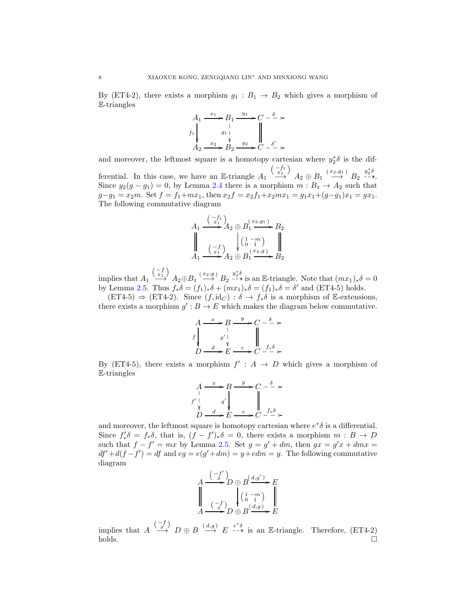By (ET4-2), there exists a morphism  $g_1 : B_1 \rightarrow B_2$  which gives a morphism of E-triangles

$$
A_1 \xrightarrow{x_1} B_1 \xrightarrow{y_1} C - \xrightarrow{\delta} >
$$
  
\n
$$
f_1 \downarrow \xrightarrow{g_1} g_1 \downarrow \qquad \qquad \parallel
$$
  
\n
$$
A_2 \xrightarrow{x_2} B_2 \xrightarrow{y_2} C - \xrightarrow{\delta'} >
$$

and moreover, the leftmost square is a homotopy cartesian where  $y_2^* \delta$  is the differential. In this case, we have an E-triangle  $A_1 \xrightarrow{\binom{-f_1}{x_1}}$  $\stackrel{-f_1}{\longrightarrow}$   $A_2 \oplus B_1 \stackrel{(x_2,g_1)}{\longrightarrow} B_2 \stackrel{y_2^* \delta}{\longrightarrow}$ Since  $y_2(g - g_1) = 0$ , by Lemma [2.4](#page-4-0) there is a morphism  $m : B_1 \to A_2$  such that  $g-g_1 = x_2m$ . Set  $f = f_1+mx_1$ , then  $x_2f = x_2f_1+x_2mx_1 = g_1x_1+(g-g_1)x_1 = gx_1$ . The following commutative diagram

$$
A_1 \xrightarrow{\binom{-f_1}{x_1}} A_2 \oplus B_1^{(x_2,g_1)} B_2
$$
  

$$
\downarrow \qquad \qquad A_1 \xrightarrow{\binom{-f}{x_1}} A_2 \oplus B_1^{(x_2,g_1)} B_2
$$
  

$$
A_1 \xrightarrow{\binom{-f}{x_1}} A_2 \oplus B_1 \xrightarrow{\binom{x_2,g}{x_2}} B_2
$$

implies that  $A_1$  $\begin{pmatrix} -f \\ x_1 \end{pmatrix}$  $\begin{array}{c}\n\stackrel{-1}{\longrightarrow}\n\stackrel{1}{\longrightarrow}\nA_2 \oplus B_1 \stackrel{(x_2,g)}{\longrightarrow}\nB_2 \stackrel{y_2^*\delta}{\longrightarrow} \text{is an E-triangle. Note that } (mx_1)_*\delta = 0\n\end{array}$ by Lemma [2.5.](#page-4-1) Thus  $f_*\delta = (f_1)_*\delta + (mx_1)_*\delta = (f_1)_*\delta = \delta'$  and (ET4-5) holds.

 $(ET4-5) \Rightarrow (ET4-2)$ . Since  $(f, id_C) : \delta \rightarrow f_* \delta$  is a morphism of E-extensions, there exists a morphism  $g' : B \to E$  which makes the diagram below commutative.

$$
A \xrightarrow{x} B \xrightarrow{y} C - \xrightarrow{\delta} \ast
$$
  

$$
f \downarrow g' \downarrow \qquad g' \downarrow
$$
  

$$
D \xrightarrow{d} E \xrightarrow{e} C - \xrightarrow{f_* \delta} \ast
$$

By (ET4-5), there exists a morphism  $f' : A \rightarrow D$  which gives a morphism of E-triangles

$$
A \xrightarrow{f} B \xrightarrow{g} C - \xrightarrow{\delta} \rightarrow
$$
  

$$
f' \downarrow \qquad g' \downarrow \qquad \qquad \downarrow
$$
  

$$
D \xrightarrow{d} E \xrightarrow{e} C - \xrightarrow{f_* \delta} \rightarrow
$$

and moreover, the leftmost square is homotopy cartesian where  $e^*\delta$  is a differential. Since  $f'_*\delta = f_*\delta$ , that is,  $(f - f')_*\delta = 0$ , there exists a morphism  $m : B \to D$ such that  $f - f' = mx$  by Lemma [2.5.](#page-4-1) Set  $g = g' + dm$ , then  $gx = g'x + dmx =$  $df' + d(f - f') = df$  and  $eg = e(g' + dm) = y + edm = y$ . The following commutative diagram

$$
A \xrightarrow{\begin{pmatrix} -f' \\ x \end{pmatrix}} D \oplus B \xrightarrow{\begin{pmatrix} d,g' \\ g \end{pmatrix}} E
$$
  

$$
A \xrightarrow{\begin{pmatrix} -f \\ x \end{pmatrix}} D \oplus B \xrightarrow{\begin{pmatrix} 1-m \\ 0 \end{pmatrix}} E
$$

implies that  $A \stackrel{(-f)}{\longrightarrow} D \oplus B \stackrel{(d,g)}{\longrightarrow} E \stackrel{e^*\delta}{\longrightarrow}$  is an E-triangle. Therefore, (ET4-2)  $\Box$ holds.  $\Box$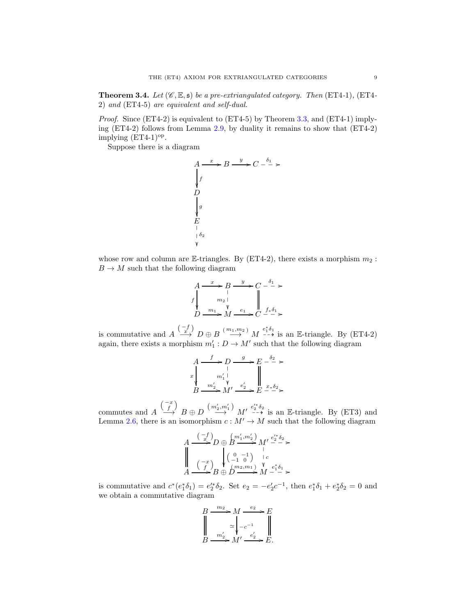<span id="page-8-0"></span>**Theorem 3.4.** Let  $(\mathscr{C}, \mathbb{E}, \mathfrak{s})$  be a pre-extriangulated category. Then  $(ET4-1)$ ,  $(ET4-1)$ 2) and (ET4-5) are equivalent and self-dual.

Proof. Since (ET4-2) is equivalent to (ET4-5) by Theorem [3.3,](#page-6-0) and (ET4-1) implying (ET4-2) follows from Lemma [2.9,](#page-4-2) by duality it remains to show that (ET4-2) implying  $(ET4-1)$ <sup>op</sup>.

Suppose there is a diagram

$$
A \xrightarrow{x} B \xrightarrow{y} C - \frac{\delta_1}{\epsilon} >
$$
\n
$$
D
$$
\n
$$
\downarrow g
$$
\n
$$
E
$$
\n
$$
|\delta_2
$$
\n
$$
\downarrow g
$$

whose row and column are E-triangles. By (ET4-2), there exists a morphism  $m_2$ :  $B \to M$  such that the following diagram

✤

$$
A \xrightarrow{x} B \xrightarrow{y} C \xrightarrow{\delta_1} \ast
$$
  
\n
$$
f \downarrow m_2 \downarrow \qquad \qquad \parallel
$$
  
\n
$$
D \xrightarrow{m_1} M \xrightarrow{e_1} C \xrightarrow{f_* \delta_1} \ast
$$

is commutative and  $A \stackrel{(-f)}{\longrightarrow} D \oplus B \stackrel{(m_1,m_2)}{\longrightarrow} M \stackrel{e_1^*\delta_1}{\longrightarrow}$  is an E-triangle. By (ET4-2) again, there exists a morphism  $m'_1: D \to M'$  such that the following diagram

$$
\begin{array}{ccc}\nA & \xrightarrow{f} & D & \xrightarrow{g} & E & \xrightarrow{\delta_2} & \ast \\
x & & & & \downarrow & & \downarrow & \\
B & \xrightarrow{m'_2} & M' & \xrightarrow{e'_2} & E & \xrightarrow{x*\delta_2} & \ast \\
\end{array}
$$

commutes and A  $\begin{pmatrix} -x \\ f \end{pmatrix}$  $\stackrel{(m')}{\longrightarrow} B \oplus D \stackrel{(m'_2,m'_1)}{\longrightarrow} M' \stackrel{e'^*_2 \delta_2}{\dashrightarrow}$  is an E-triangle. By (ET3) and Lemma [2.6,](#page-4-3) there is an isomorphism  $c: M' \to M$  such that the following diagram

$$
A \xrightarrow{\left(\begin{array}{c} -f \\ x \end{array}\right)} D \oplus B \xrightarrow{\left(\begin{array}{c} m_1',m_2' \\ \end{array}\right)} M' \xrightarrow{e_2' \delta_2} \times \\ \begin{array}{c} | \\ \hline | \\ A \end{array} \xrightarrow{\left(\begin{array}{c} -x \\ f \end{array}\right)} \begin{array}{c} | \\ \hline | \\ B \oplus D \end{array}\right)} \begin{array}{c} 0 & -1 \\ \hline \end{array} \xrightarrow{\left(\begin{array}{c} 0 & -1 \\ \end{array}\right)} \begin{array}{c} e \\ \hline \end{array}\right)} \begin{array}{c} e^*_{1} \delta_1 \\ \hline \end{array} \times A \xrightarrow{\left(\begin{array}{c} -x \\ f \end{array}\right)} B \oplus D \xrightarrow{\left(\begin{array}{c} m_2, m_1 \\ \end{array}\right)} M \xrightarrow{\left(\begin{array}{c} e^*_{1} \delta_1 \\ \end{array}\right)} \times
$$

is commutative and  $c^*(e_1^*\delta_1) = e_2'^*\delta_2$ . Set  $e_2 = -e_2'c^{-1}$ , then  $e_1^*\delta_1 + e_2^*\delta_2 = 0$  and we obtain a commutative diagram

$$
B \xrightarrow{m_2} M \xrightarrow{e_2} E
$$
  

$$
\downarrow \sim
$$
  

$$
B \xrightarrow{m'_2} M' \xrightarrow{e'_2} E.
$$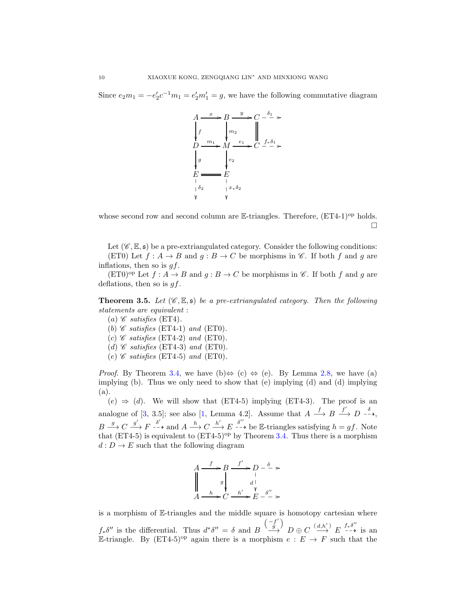Since  $e_2m_1 = -e'_2c^{-1}m_1 = e'_2m'_1 = g$ , we have the following commutative diagram



whose second row and second column are  $E$ -triangles. Therefore,  $(ET4-1)^{op}$  holds.  $\Box$ 

Let  $(\mathscr{C}, \mathbb{E}, \mathfrak{s})$  be a pre-extriangulated category. Consider the following conditions: (ET0) Let  $f : A \to B$  and  $g : B \to C$  be morphisms in  $\mathscr{C}$ . If both f and g are inflations, then so is  $gf$ .

 $(ET0)^{op}$  Let  $f : A \rightarrow B$  and  $g : B \rightarrow C$  be morphisms in  $\mathscr{C}$ . If both f and g are deflations, then so is  $gf$ .

<span id="page-9-0"></span>**Theorem 3.5.** Let  $(\mathscr{C}, \mathbb{E}, \mathfrak{s})$  be a pre-extriangulated category. Then the following statements are equivalent :

- (a)  $\mathscr C$  satisfies (ET4).
- (b)  $\mathscr C$  satisfies (ET4-1) and (ET0).
- (c)  $\mathscr C$  satisfies (ET4-2) and (ET0).
- (d)  $\mathscr C$  satisfies (ET4-3) and (ET0).
- (e)  $\mathscr C$  satisfies (ET4-5) and (ET0).

*Proof.* By Theorem [3.4,](#page-8-0) we have (b) $\Leftrightarrow$  (c)  $\Leftrightarrow$  (e). By Lemma [2.8,](#page-4-4) we have (a) implying (b). Thus we only need to show that (e) implying (d) and (d) implying (a).

 $(e) \Rightarrow (d)$ . We will show that (ET4-5) implying (ET4-3). The proof is an analogue of [\[3,](#page-12-6) 3.5]; see also [\[1,](#page-12-7) Lemma 4.2]. Assume that  $A \xrightarrow{f} B \xrightarrow{f'} D \xrightarrow{\delta}$ ,  $B \xrightarrow{g} C \xrightarrow{g'} F \xrightarrow{\delta'}$  and  $A \xrightarrow{h} C \xrightarrow{h'} E \xrightarrow{\delta''}$  be E-triangles satisfying  $h = gf$ . Note that (ET4-5) is equivalent to  $(ET4-5)^{op}$  by Theorem [3.4.](#page-8-0) Thus there is a morphism  $d: D \to E$  such that the following diagram

$$
A \xrightarrow{f} B \xrightarrow{f'} D - \xrightarrow{\delta} >
$$
  
\n
$$
\downarrow^{g} \qquad \downarrow^{g} \qquad \downarrow^{h'}>
$$
  
\n
$$
A \xrightarrow{h} C \xrightarrow{h'} E \xrightarrow{\delta''}
$$

is a morphism of E-triangles and the middle square is homotopy cartesian where  $f_*\delta''$  is the differential. Thus  $d^*\delta'' = \delta$  and B  $(-f)$  $\binom{f'}{g}$  $\stackrel{-f}{\longrightarrow} D \oplus C \stackrel{(d,h')}{\longrightarrow} E \stackrel{f_*\delta''}{\longrightarrow}$  is an E-triangle. By  $(ET4-5)^{op}$  again there is a morphism  $e : E \to F$  such that the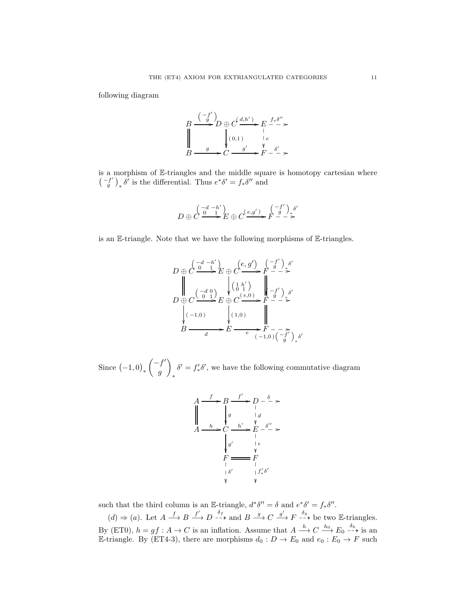following diagram

$$
B \xrightarrow{(-f') \atop g} D \oplus C \xrightarrow{d, h' \atop g} E \xrightarrow{f * \delta'' \atop g} E \xrightarrow{g \atop g} \xrightarrow{g' \atop g} F \xrightarrow{\delta' \atop g} F.
$$

is a morphism of E-triangles and the middle square is homotopy cartesian where  $\left( \begin{array}{c} -f' \\ g \end{array} \right)$  $\left(\begin{array}{c} f' \\ g' \end{array}\right)_* \delta'$  is the differential. Thus  $e^* \delta' = f_* \delta''$  and

$$
D \oplus C \stackrel{\begin{pmatrix} -d & -h' \\ 0 & 1 \end{pmatrix}}{\longrightarrow} E \oplus C \stackrel{(e,g')}{\longrightarrow} F \stackrel{\begin{pmatrix} -f' \\ g \end{pmatrix}}{\longrightarrow} \stackrel{\delta'}{\longleftarrow}
$$

is an E-triangle. Note that we have the following morphisms of E-triangles.

$$
D \oplus C \xrightarrow{d-h'} E \oplus C \xrightarrow{(e,g')} F \xrightarrow{f'} \xrightarrow{s'}
$$
  
\n
$$
D \oplus C \xrightarrow{(d,0)} E \oplus C \xrightarrow{(e,0)} F \xrightarrow{g'} \xrightarrow{s'}
$$
  
\n
$$
\downarrow (1,0)
$$
  
\n
$$
B \xrightarrow{d} E \xrightarrow{(1,0)} F \xrightarrow{g'} F \xrightarrow{s'}
$$
  
\n
$$
\downarrow (1,0)
$$
  
\n
$$
\downarrow F \xrightarrow{g'} \xrightarrow{s'}
$$
  
\n
$$
F \xrightarrow{f} \xrightarrow{g} F \xrightarrow{g} \xrightarrow{s'}
$$

Since  $(-1,0)_*$  $\left( -f^{\prime }\right)$ g  $\setminus$ ∗  $\delta' = f'_* \delta'$ , we have the following commutative diagram

$$
A \xrightarrow{f} B \xrightarrow{f'} D - \xrightarrow{\delta} \rightarrow
$$
  
\n
$$
A \xrightarrow{h} C \xrightarrow{h'} E \xrightarrow{S''} \rightarrow
$$
  
\n
$$
\downarrow g' \qquad \downarrow e
$$
  
\n
$$
\downarrow g' \qquad \downarrow e
$$
  
\n
$$
\downarrow F \xrightarrow{f'} F \qquad \downarrow f'_{*} \delta'
$$
  
\n
$$
\uparrow g' \qquad \downarrow f'_{*} \delta'
$$

such that the third column is an E-triangle,  $d^*\delta'' = \delta$  and  $e^*\delta' = f_*\delta''$ .

 $(d) \Rightarrow (a)$ . Let  $A \xrightarrow{f} B \xrightarrow{f'} D \xrightarrow{\delta_f} A$  and  $B \xrightarrow{g} C \xrightarrow{g'} F \xrightarrow{\delta_g} b$  be two E-triangles. By (ET0),  $h = gf : A \to C$  is an inflation. Assume that  $A \xrightarrow{h} C \xrightarrow{h_0} E_0 \xrightarrow{h_1}$  is an E-triangle. By (ET4-3), there are morphisms  $d_0: D \to E_0$  and  $e_0: E_0 \to F$  such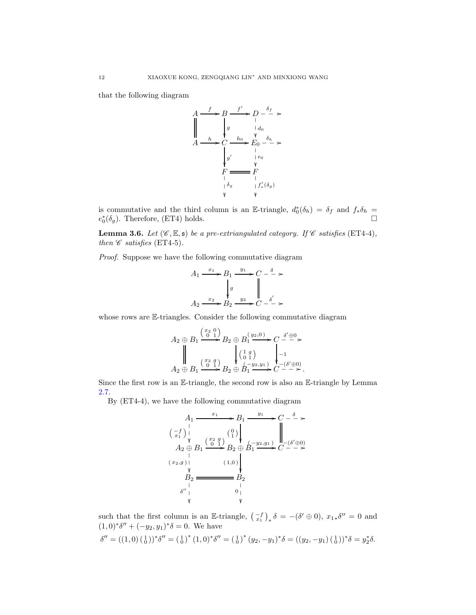that the following diagram



is commutative and the third column is an E-triangle,  $d_0^*(\delta_h) = \delta_f$  and  $f_*\delta_h =$  $e_0^*$  $(\delta_g)$ . Therefore, (ET4) holds.

<span id="page-11-0"></span>**Lemma 3.6.** Let  $(\mathscr{C}, \mathbb{E}, \mathfrak{s})$  be a pre-extriangulated category. If  $\mathscr{C}$  satisfies (ET4-4), then  $\mathscr C$  satisfies (ET4-5).

Proof. Suppose we have the following commutative diagram

$$
A_1 \xrightarrow{x_1} B_1 \xrightarrow{y_1} C - \xrightarrow{\delta} \succ
$$

$$
\downarrow g \qquad \qquad \downarrow g
$$

$$
A_2 \xrightarrow{x_2} B_2 \xrightarrow{y_2} C - \xrightarrow{\delta'} \succ
$$

whose rows are E-triangles. Consider the following commutative diagram

$$
A_2 \oplus B_1 \xrightarrow{\begin{pmatrix} x_2 & 0 \\ 0 & 1 \end{pmatrix}} B_2 \oplus B_1 \xrightarrow{\begin{pmatrix} y_2, 0 \\ 1 \end{pmatrix}} C \xrightarrow{\delta' \oplus 0} A_2 \oplus B_1 \xrightarrow{\begin{pmatrix} x_2 & g \\ 0 & 1 \end{pmatrix}} B_2 \oplus B_1 \xrightarrow{\begin{pmatrix} 1 & g \\ 0 & 1 \end{pmatrix}} C \xrightarrow{-\begin{pmatrix} s' \oplus 0 \\ -1 \end{pmatrix}}.
$$

Since the first row is an  $\mathbb{E}\text{-triangle}$ , the second row is also an  $\mathbb{E}\text{-triangle}$  by Lemma [2.7.](#page-4-5)

By (ET4-4), we have the following commutative diagram

A<sup>1</sup> −f x1 ✤ <sup>x</sup><sup>1</sup> /B<sup>1</sup> <sup>y</sup><sup>1</sup> / ( 0 1 ) C δ ❴❴❴ / A<sup>2</sup> ⊕ B<sup>1</sup> ( x2,g ) ✤ ( x2 g 0 1 ) /B<sup>2</sup> <sup>⊕</sup> <sup>B</sup><sup>1</sup> ( −y2,y<sup>1</sup> ) / ( 1,0 ) C −(δ ′⊕0) ❴❴❴ / B<sup>2</sup> δ ′′ ✤ B<sup>2</sup> 0 ✤

such that the first column is an E-triangle,  $\left(\begin{smallmatrix} -f \\ x_1 \end{smallmatrix}\right)_* \delta = -(\delta' \oplus 0), x_{1*} \delta'' = 0$  and  $(1,0)^* \delta'' + (-y_2, y_1)^* \delta = 0$ . We have

$$
\delta'' = ((1,0) \left(\begin{smallmatrix}1\\0\end{smallmatrix}\right))^* \delta'' = \left(\begin{smallmatrix}1\\0\end{smallmatrix}\right)^* (1,0)^* \delta'' = \left(\begin{smallmatrix}1\\0\end{smallmatrix}\right)^* (y_2,-y_1)^* \delta = ((y_2,-y_1) \left(\begin{smallmatrix}1\\0\end{smallmatrix}\right))^* \delta = y_2^* \delta.
$$